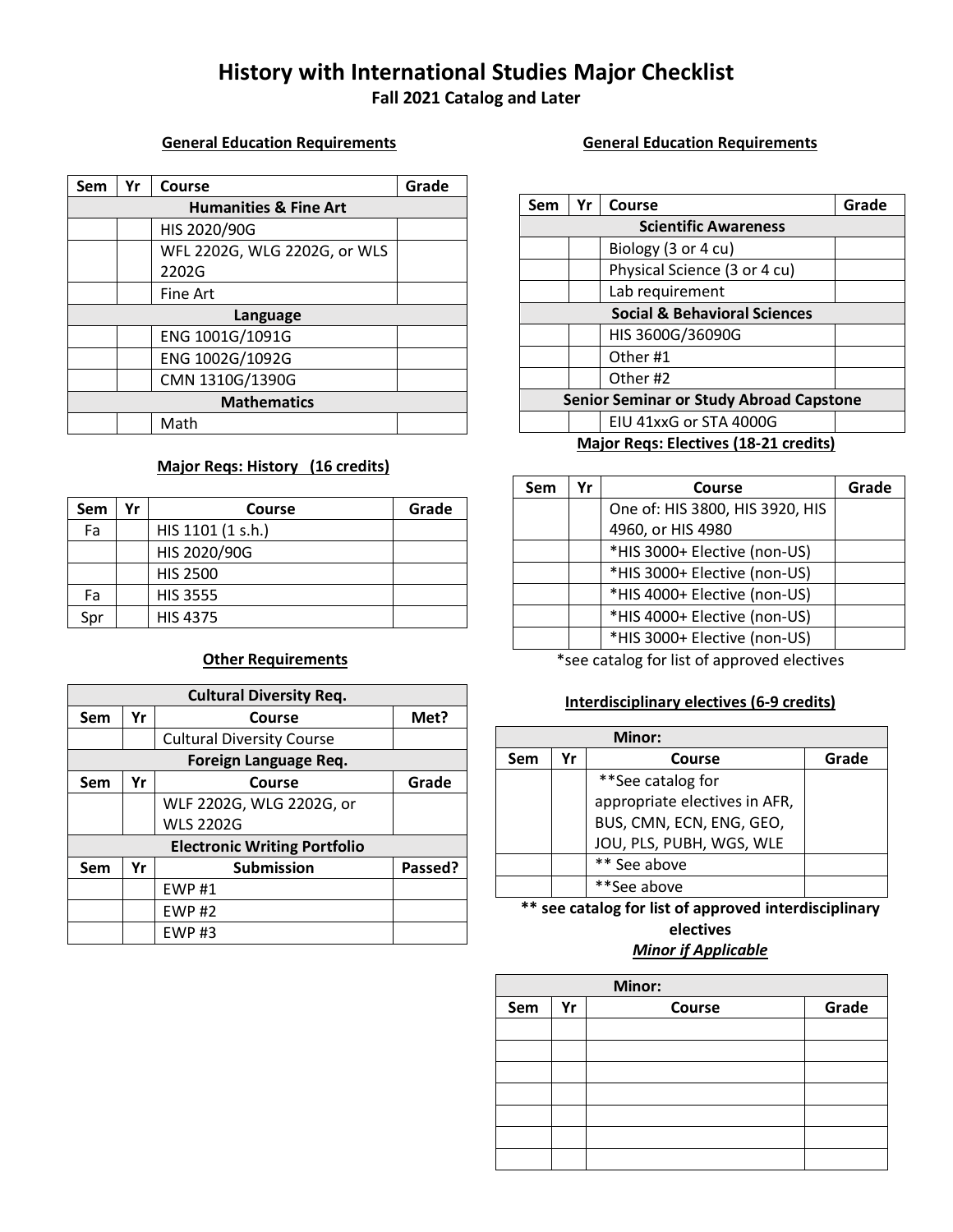# **History with International Studies Major Checklist**

**Fall 2021 Catalog and Later**

### **General Education Requirements**

| Sem                | Yr                               | Course                       | Grade |  |
|--------------------|----------------------------------|------------------------------|-------|--|
|                    | <b>Humanities &amp; Fine Art</b> |                              |       |  |
|                    |                                  | HIS 2020/90G                 |       |  |
|                    |                                  | WFL 2202G, WLG 2202G, or WLS |       |  |
|                    |                                  | 2202G                        |       |  |
|                    |                                  | Fine Art                     |       |  |
| Language           |                                  |                              |       |  |
|                    |                                  | ENG 1001G/1091G              |       |  |
|                    |                                  | ENG 1002G/1092G              |       |  |
|                    |                                  | CMN 1310G/1390G              |       |  |
| <b>Mathematics</b> |                                  |                              |       |  |
|                    |                                  | Math                         |       |  |

## **Major Reqs: History (16 credits)**

| Sem | Yr | Course            | Grade |
|-----|----|-------------------|-------|
| Fa  |    | HIS 1101 (1 s.h.) |       |
|     |    | HIS 2020/90G      |       |
|     |    | <b>HIS 2500</b>   |       |
| Fa  |    | <b>HIS 3555</b>   |       |
| Spr |    | <b>HIS 4375</b>   |       |

# **Other Requirements**

| <b>Cultural Diversity Req.</b>      |    |                                  |         |  |
|-------------------------------------|----|----------------------------------|---------|--|
| Sem                                 | Yr | Course                           | Met?    |  |
|                                     |    | <b>Cultural Diversity Course</b> |         |  |
|                                     |    | Foreign Language Req.            |         |  |
| Sem                                 | Yr | Course                           | Grade   |  |
|                                     |    | WLF 2202G, WLG 2202G, or         |         |  |
|                                     |    | <b>WLS 2202G</b>                 |         |  |
| <b>Electronic Writing Portfolio</b> |    |                                  |         |  |
| Sem                                 | Yr | <b>Submission</b>                | Passed? |  |
|                                     |    | <b>EWP#1</b>                     |         |  |
|                                     |    | <b>EWP#2</b>                     |         |  |
|                                     |    | $EWP$ #3                         |         |  |

### **General Education Requirements**

| Sem                                            | Yr                                    | Course                       | Grade |  |
|------------------------------------------------|---------------------------------------|------------------------------|-------|--|
|                                                | <b>Scientific Awareness</b>           |                              |       |  |
|                                                |                                       | Biology (3 or 4 cu)          |       |  |
|                                                |                                       | Physical Science (3 or 4 cu) |       |  |
|                                                |                                       | Lab requirement              |       |  |
| <b>Social &amp; Behavioral Sciences</b>        |                                       |                              |       |  |
|                                                |                                       | HIS 3600G/36090G             |       |  |
|                                                |                                       | Other #1                     |       |  |
|                                                |                                       | Other #2                     |       |  |
| <b>Senior Seminar or Study Abroad Capstone</b> |                                       |                              |       |  |
|                                                |                                       | EIU 41xxG or STA 4000G       |       |  |
|                                                | Maior Rons: Flortivos (18,21 crodits) |                              |       |  |

#### **Major Reqs: Electives (18-21 credits)**

| Sem | ٧r | Course                          | Grade |
|-----|----|---------------------------------|-------|
|     |    | One of: HIS 3800, HIS 3920, HIS |       |
|     |    | 4960, or HIS 4980               |       |
|     |    | *HIS 3000+ Elective (non-US)    |       |
|     |    | *HIS 3000+ Elective (non-US)    |       |
|     |    | *HIS 4000+ Elective (non-US)    |       |
|     |    | *HIS 4000+ Elective (non-US)    |       |
|     |    | *HIS 3000+ Elective (non-US)    |       |

\*see catalog for list of approved electives

## **Interdisciplinary electives (6-9 credits)**

| Minor:                               |    |                               |       |
|--------------------------------------|----|-------------------------------|-------|
| Sem                                  | Yr | Course                        | Grade |
|                                      |    | **See catalog for             |       |
|                                      |    | appropriate electives in AFR, |       |
|                                      |    | BUS, CMN, ECN, ENG, GEO,      |       |
|                                      |    | JOU, PLS, PUBH, WGS, WLE      |       |
|                                      |    | ** See above                  |       |
|                                      |    | **See above                   |       |
| $**$<br>ومعصوره فمرادفا وممقره مالحا |    |                               |       |

**\*\* see catalog for list of approved interdisciplinary electives**

# *Minor if Applicable*

| Minor: |    |        |       |
|--------|----|--------|-------|
| Sem    | Yr | Course | Grade |
|        |    |        |       |
|        |    |        |       |
|        |    |        |       |
|        |    |        |       |
|        |    |        |       |
|        |    |        |       |
|        |    |        |       |